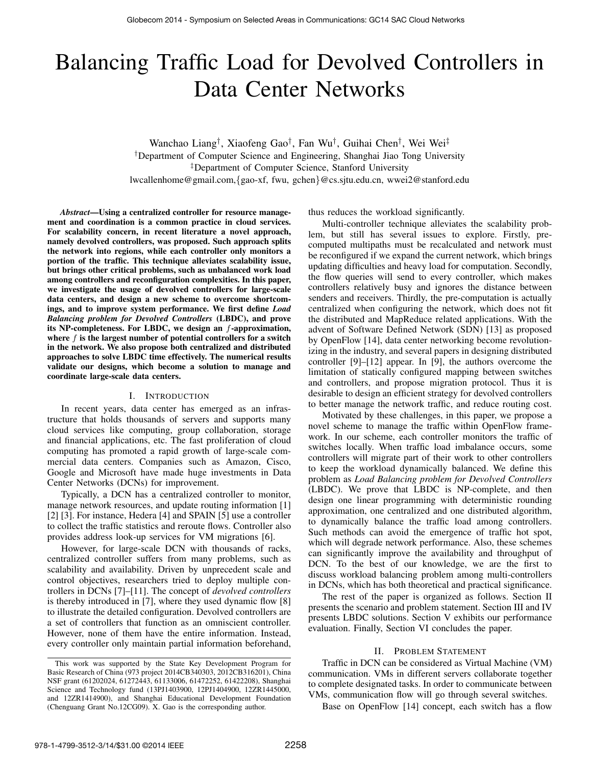# Balancing Traffic Load for Devolved Controllers in Data Center Networks

Wanchao Liang† , Xiaofeng Gao† , Fan Wu† , Guihai Chen† , Wei Wei‡ †Department of Computer Science and Engineering, Shanghai Jiao Tong University ‡Department of Computer Science, Stanford University lwcallenhome@gmail.com,{gao-xf, fwu, gchen}@cs.sjtu.edu.cn, wwei2@stanford.edu

*Abstract*—Using a centralized controller for resource management and coordination is a common practice in cloud services. For scalability concern, in recent literature a novel approach, namely devolved controllers, was proposed. Such approach splits the network into regions, while each controller only monitors a portion of the traffic. This technique alleviates scalability issue, but brings other critical problems, such as unbalanced work load among controllers and reconfiguration complexities. In this paper, we investigate the usage of devolved controllers for large-scale data centers, and design a new scheme to overcome shortcomings, and to improve system performance. We first define *Load Balancing problem for Devolved Controllers* (LBDC), and prove its NP-completeness. For LBDC, we design an f-approximation, where  $f$  is the largest number of potential controllers for a switch in the network. We also propose both centralized and distributed approaches to solve LBDC time effectively. The numerical results validate our designs, which become a solution to manage and coordinate large-scale data centers.

#### I. INTRODUCTION

In recent years, data center has emerged as an infrastructure that holds thousands of servers and supports many cloud services like computing, group collaboration, storage and financial applications, etc. The fast proliferation of cloud computing has promoted a rapid growth of large-scale commercial data centers. Companies such as Amazon, Cisco, Google and Microsoft have made huge investments in Data Center Networks (DCNs) for improvement.

Typically, a DCN has a centralized controller to monitor, manage network resources, and update routing information [1] [2] [3]. For instance, Hedera [4] and SPAIN [5] use a controller to collect the traffic statistics and reroute flows. Controller also provides address look-up services for VM migrations [6].

However, for large-scale DCN with thousands of racks, centralized controller suffers from many problems, such as scalability and availability. Driven by unprecedent scale and control objectives, researchers tried to deploy multiple controllers in DCNs [7]–[11]. The concept of *devolved controllers* is thereby introduced in [7], where they used dynamic flow [8] to illustrate the detailed configuration. Devolved controllers are a set of controllers that function as an omniscient controller. However, none of them have the entire information. Instead, every controller only maintain partial information beforehand,

thus reduces the workload significantly.

Multi-controller technique alleviates the scalability problem, but still has several issues to explore. Firstly, precomputed multipaths must be recalculated and network must be reconfigured if we expand the current network, which brings updating difficulties and heavy load for computation. Secondly, the flow queries will send to every controller, which makes controllers relatively busy and ignores the distance between senders and receivers. Thirdly, the pre-computation is actually centralized when configuring the network, which does not fit the distributed and MapReduce related applications. With the advent of Software Defined Network (SDN) [13] as proposed by OpenFlow [14], data center networking become revolutionizing in the industry, and several papers in designing distributed controller [9]–[12] appear. In [9], the authors overcome the limitation of statically configured mapping between switches and controllers, and propose migration protocol. Thus it is desirable to design an efficient strategy for devolved controllers to better manage the network traffic, and reduce routing cost.

Motivated by these challenges, in this paper, we propose a novel scheme to manage the traffic within OpenFlow framework. In our scheme, each controller monitors the traffic of switches locally. When traffic load imbalance occurs, some controllers will migrate part of their work to other controllers to keep the workload dynamically balanced. We define this problem as *Load Balancing problem for Devolved Controllers* (LBDC). We prove that LBDC is NP-complete, and then design one linear programming with deterministic rounding approximation, one centralized and one distributed algorithm, to dynamically balance the traffic load among controllers. Such methods can avoid the emergence of traffic hot spot, which will degrade network performance. Also, these schemes can significantly improve the availability and throughput of DCN. To the best of our knowledge, we are the first to discuss workload balancing problem among multi-controllers in DCNs, which has both theoretical and practical significance.

The rest of the paper is organized as follows. Section II presents the scenario and problem statement. Section III and IV presents LBDC solutions. Section V exhibits our performance evaluation. Finally, Section VI concludes the paper.

# II. PROBLEM STATEMENT

Traffic in DCN can be considered as Virtual Machine (VM) communication. VMs in different servers collaborate together to complete designated tasks. In order to communicate between VMs, communication flow will go through several switches.

Base on OpenFlow [14] concept, each switch has a flow

This work was supported by the State Key Development Program for Basic Research of China (973 project 2014CB340303, 2012CB316201), China NSF grant (61202024, 61272443, 61133006, 61472252, 61422208), Shanghai Science and Technology fund (13PJ1403900, 12PJ1404900, 12ZR1445000, and 12ZR1414900), and Shanghai Educational Development Foundation (Chenguang Grant No.12CG09). X. Gao is the corresponding author.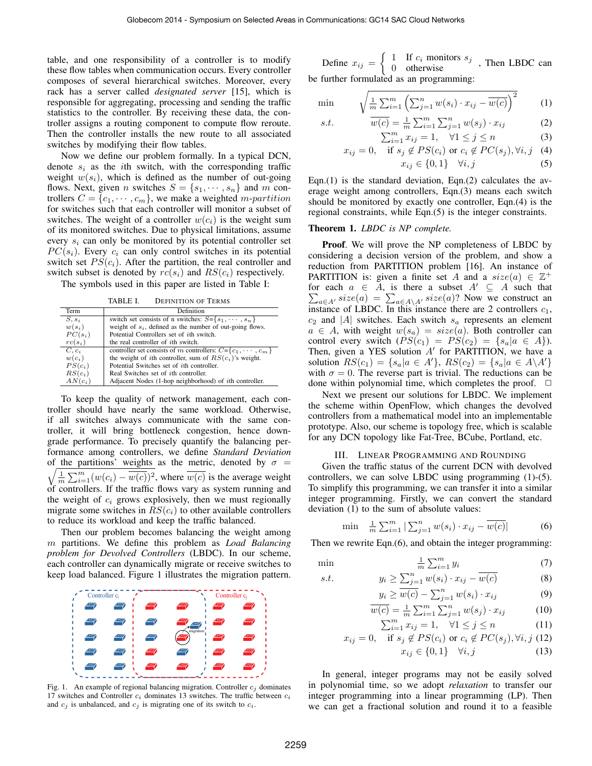table, and one responsibility of a controller is to modify these flow tables when communication occurs. Every controller composes of several hierarchical switches. Moreover, every rack has a server called *designated server* [15], which is responsible for aggregating, processing and sending the traffic statistics to the controller. By receiving these data, the controller assigns a routing component to compute flow reroute. Then the controller installs the new route to all associated switches by modifying their flow tables.

Now we define our problem formally. In a typical DCN, denote  $s_i$  as the *i*th switch, with the corresponding traffic weight  $w(s_i)$ , which is defined as the number of out-going flows. Next, given *n* switches  $S = \{s_1, \dots, s_n\}$  and *m* controllers  $C = \{c_1, \dots, c_m\}$ , we make a weighted *m-partition* for switches such that each controller will monitor a subset of switches. The weight of a controller  $w(c_i)$  is the weight sum of its monitored switches. Due to physical limitations, assume every  $s_i$  can only be monitored by its potential controller set  $PC(s_i)$ . Every  $c_i$  can only control switches in its potential switch set  $PS(c_i)$ . After the partition, the real controller and switch subset is denoted by  $rc(s_i)$  and  $RS(c_i)$  respectively.

The symbols used in this paper are listed in Table I:

TABLE I. DEFINITION OF TERMS

| Term      | Definition                                                          |
|-----------|---------------------------------------------------------------------|
| $S, s_i$  | switch set consists of n switches: $S = \{s_1, \dots, s_n\}$        |
| $w(s_i)$  | weight of $s_i$ , defined as the number of out-going flows.         |
| $PC(s_i)$ | Potential Controllers set of <i>i</i> th switch.                    |
| $rc(s_i)$ | the real controller of <i>i</i> th switch.                          |
| $C, c_i$  | controller set consists of m controllers: $C = \{c_1, \dots, c_m\}$ |
| $w(c_i)$  | the weight of <i>i</i> th controller, sum of $RS(c_i)$ 's weight.   |
| $PS(c_i)$ | Potential Switches set of <i>i</i> th controller.                   |
| $RS(c_i)$ | Real Switches set of <i>i</i> th controller.                        |
| $AN(c_i)$ | Adjacent Nodes (1-hop neighborhood) of <i>i</i> th controller.      |

To keep the quality of network management, each controller should have nearly the same workload. Otherwise, if all switches always communicate with the same controller, it will bring bottleneck congestion, hence downgrade performance. To precisely quantify the balancing performance among controllers, we define *Standard Deviation* of the partitions' weights as the metric, denoted by  $\sigma =$ of the partitions' weights as the metric, denoted by  $\sigma = \sqrt{\frac{1}{m} \sum_{i=1}^{m} (w(c_i) - \overline{w(c)})^2}$ , where  $\overline{w(c)}$  is the average weight of controllers. If the traffic flows vary as system running and the weight of  $c_i$  grows explosively, then we must regionally migrate some switches in  $RS(c_i)$  to other available controllers to reduce its workload and keep the traffic balanced.

Then our problem becomes balancing the weight among m partitions. We define this problem as *Load Balancing problem for Devolved Controllers* (LBDC). In our scheme, each controller can dynamically migrate or receive switches to keep load balanced. Figure 1 illustrates the migration pattern.



Fig. 1. An example of regional balancing migration. Controller  $c_i$  dominates 17 switches and Controller  $c_i$  dominates 13 switches. The traffic between  $c_i$ and  $c_i$  is unbalanced, and  $c_i$  is migrating one of its switch to  $c_i$ .

Define  $x_{ij} = \begin{cases} 1 & \text{If } c_i \text{ monitors } s_j \\ 0 & \text{otherwise} \end{cases}$ , Then LBDC can be further formulated as an programming:

$$
\min \qquad \sqrt{\frac{1}{m} \sum_{i=1}^{m} \left( \sum_{j=1}^{n} w(s_i) \cdot x_{ij} - \overline{w(c)} \right)^2} \qquad (1)
$$

s.t. 
$$
\overline{w(c)} = \frac{1}{m} \sum_{i=1}^{m} \sum_{j=1}^{n} w(s_j) \cdot x_{ij}
$$
(2)  

$$
\sum_{i=1}^{m} x_{ij} = 1, \quad \forall 1 \le j \le n
$$
(3)

$$
x_{ij} = 0, \quad \text{if } s_j \notin PS(c_i) \text{ or } c_i \notin PC(s_j), \forall i, j \quad (4)
$$

$$
x_{ij} \in \{0, 1\} \quad \forall i, j \tag{5}
$$

Eqn. $(1)$  is the standard deviation, Eqn. $(2)$  calculates the average weight among controllers, Eqn.(3) means each switch should be monitored by exactly one controller, Eqn.(4) is the regional constraints, while Eqn.(5) is the integer constraints.

# Theorem 1. *LBDC is NP complete.*

Proof. We will prove the NP completeness of LBDC by considering a decision version of the problem, and show a reduction from PARTITION problem [16]. An instance of PARTITION is: given a finite set A and a  $size(a) \in \mathbb{Z}^+$  $\sum$ for each  $a \in A$ , is there a subset  $A' \subseteq A$  such that  $a \in A$ <sup>*size*(a) =  $\sum_{a \in A \setminus A} size(a)$ ? Now we construct an</sup> instance of LBDC. In this instance there are 2 controllers  $c_1$ ,  $c_2$  and |A| switches. Each switch  $s_a$  represents an element  $a \in A$ , with weight  $w(s_a) = size(a)$ . Both controller can control every switch  $(PS(c_1) = PS(c_2) = \{s_a | a \in A\}).$ Then, given a YES solution  $A'$  for PARTITION, we have a solution  $RS(c_1) = \{s_a | a \in A'\}, RS(c_2) = \{s_a | a \in A\backslash A'\}$ with  $\sigma = 0$ . The reverse part is trivial. The reductions can be done within polynomial time, which completes the proof.  $\Box$ 

Next we present our solutions for LBDC. We implement the scheme within OpenFlow, which changes the devolved controllers from a mathematical model into an implementable prototype. Also, our scheme is topology free, which is scalable for any DCN topology like Fat-Tree, BCube, Portland, etc.

#### III. LINEAR PROGRAMMING AND ROUNDING

Given the traffic status of the current DCN with devolved controllers, we can solve LBDC using programming (1)-(5). To simplify this programming, we can transfer it into a similar integer programming. Firstly, we can convert the standard deviation (1) to the sum of absolute values:

$$
\min \quad \frac{1}{m} \sum_{i=1}^{m} |\sum_{j=1}^{n} w(s_i) \cdot x_{ij} - \overline{w(c)}| \tag{6}
$$

Then we rewrite Eqn.(6), and obtain the integer programming:

$$
\min \qquad \qquad \frac{1}{m} \sum_{i=1}^{m} y_i \tag{7}
$$

$$
s.t. \t y_i \ge \sum_{j=1}^n w(s_i) \cdot x_{ij} - \overline{w(c)} \t (8)
$$

$$
y_i \ge \overline{w(c)} - \sum_{j=1}^n w(s_i) \cdot x_{ij}
$$
\n<sup>(9)</sup>

$$
\overline{w(c)} = \frac{1}{m} \sum_{i=1}^{m} \sum_{j=1}^{n} w(s_j) \cdot x_{ij}
$$
\n
$$
\sum_{i=1}^{m} x_{ij} = 1, \quad \forall 1 \le j \le n
$$
\n(10)

$$
\sum_{i=1}^{m} x_{ij} = 1, \quad \forall 1 \le j \le n \tag{11}
$$
\n
$$
\text{if } a_i \notin PS(a) \text{ or } a_j \notin PC(a) \ \forall i \neq j \tag{12}
$$

$$
x_{ij} = 0, \quad \text{if } s_j \notin PS(c_i) \text{ or } c_i \notin PC(s_j), \forall i, j \tag{12}
$$
\n
$$
x_{ij} \in \{0, 1\} \quad \forall i, j \tag{13}
$$

In general, integer programs may not be easily solved in polynomial time, so we adopt *relaxation* to transfer our integer programming into a linear programming (LP). Then we can get a fractional solution and round it to a feasible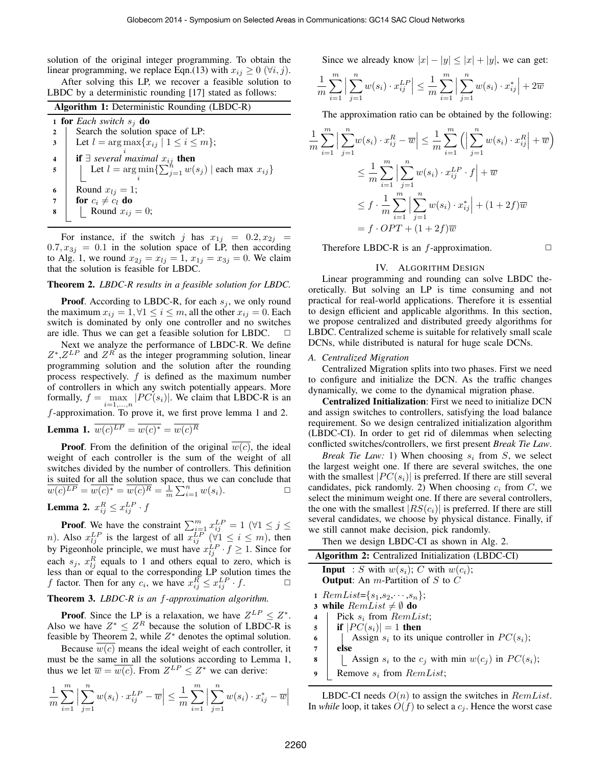solution of the original integer programming. To obtain the linear programming, we replace Eqn.(13) with  $x_{ij} \geq 0$  ( $\forall i, j$ ).

After solving this LP, we recover a feasible solution to LBDC by a deterministic rounding [17] stated as follows:

| <b>Algorithm 1:</b> Deterministic Rounding (LBDC-R) |                                                                           |  |  |  |
|-----------------------------------------------------|---------------------------------------------------------------------------|--|--|--|
| <b>1 for</b> Each switch $s_i$ <b>do</b>            |                                                                           |  |  |  |
| $\mathbf{2}$                                        | Search the solution space of LP:                                          |  |  |  |
| 3                                                   | Let $l = \arg \max \{x_{ij} \mid 1 \leq i \leq m\};$                      |  |  |  |
| $\overline{\mathbf{4}}$                             | <b>if</b> $\exists$ several maximal $x_{ij}$ <b>then</b>                  |  |  |  |
| 5                                                   | Let $l = \arg \min \{ \sum_{j=1}^{n} w(s_j)   \text{each max } x_{ij} \}$ |  |  |  |
|                                                     |                                                                           |  |  |  |
| 6                                                   | Round $x_{lj} = 1$ ;                                                      |  |  |  |
| $\overline{7}$                                      | for $c_i \neq c_l$ do                                                     |  |  |  |
| 8                                                   | Round $x_{ij} = 0$ ;                                                      |  |  |  |
|                                                     |                                                                           |  |  |  |

For instance, if the switch j has  $x_{1j} = 0.2, x_{2j} =$  $0.7, x_{3j} = 0.1$  in the solution space of LP, then according to Alg. 1, we round  $x_{2j} = x_{lj} = 1, x_{1j} = x_{3j} = 0$ . We claim that the solution is feasible for LBDC.

#### Theorem 2. *LBDC-R results in a feasible solution for LBDC.*

**Proof.** According to LBDC-R, for each  $s_j$ , we only round the maximum  $x_{ij} = 1, \forall 1 \le i \le m$ , all the other  $x_{ij} = 0$ . Each switch is dominated by only one controller and no switches are idle. Thus we can get a feasible solution for LBDC.  $\Box$ 

Next we analyze the performance of LBDC-R. We define  $Z^*, Z^{LP}$  and  $Z^R$  as the integer programming solution, linear programming solution and the solution after the rounding process respectively.  $f$  is defined as the maximum number of controllers in which any switch potentially appears. More formally,  $f = \max_{i=1,...,n} |PC(s_i)|$ . We claim that LBDC-R is an f-approximation. To prove it, we first prove lemma 1 and 2. **Lemma 1.**  $w(c)^{LP} = w(c)^* = w(c)^R$ 

**Proof.** From the definition of the original  $w(c)$ , the ideal weight of each controller is the sum of the weight of all switches divided by the number of controllers. This definition is suited for all the solution space, thus we can conclude that  $\overline{w(c)^{LP}} = \overline{w(c)^*} = \overline{w(c)^R} = \frac{1}{m} \sum_{i=1}^n w(s_i).$ 

**Lemma 2.** 
$$
x_{ij}^R \leq x_{ij}^{LP} \cdot f
$$

**Proof.** We have the constraint  $\sum_{i=1}^{m} x_{ij}^{LP} = 1$  ( $\forall 1 \leq j \leq$ *n*). Also  $x_{ij}^{LP}$  is the largest of all  $x_{ij}^{LP}$  ( $\forall i \leq i \leq m$ ), then by Pigeonhole principle, we must have  $x_{lj}^{LP} \cdot f \ge 1$ . Since for each  $s_j$ ,  $x_{lj}^R$  equals to 1 and others equal to zero, which is less than or equal to the corresponding LP solution times the f factor. Then for any  $c_i$ , we have  $x_{ij}^R \le x_{ij}^{LP} \cdot f$ .

# Theorem 3. *LBDC-R is an* f*-approximation algorithm.*

**Proof.** Since the LP is a relaxation, we have  $Z^{LP} \leq Z^*$ . Also we have  $Z^* \leq Z^R$  because the solution of LBDC-R is feasible by Theorem 2, while  $Z^*$  denotes the optimal solution.

Because  $\overline{w(c)}$  means the ideal weight of each controller, it must be the same in all the solutions according to Lemma 1, thus we let  $\overline{w} = \overline{w(c)}$ . From  $Z^{LP} \le Z^*$  we can derive:

$$
\frac{1}{m} \sum_{i=1}^{m} \Big| \sum_{j=1}^{n} w(s_i) \cdot x_{ij}^{LP} - \overline{w} \Big| \le \frac{1}{m} \sum_{i=1}^{m} \Big| \sum_{j=1}^{n} w(s_i) \cdot x_{ij}^* - \overline{w} \Big|
$$

Since we already know  $|x| - |y| \le |x| + |y|$ , we can get:

$$
\frac{1}{m} \sum_{i=1}^{m} \left| \sum_{j=1}^{n} w(s_i) \cdot x_{ij}^{LP} \right| \le \frac{1}{m} \sum_{i=1}^{m} \left| \sum_{j=1}^{n} w(s_i) \cdot x_{ij}^* \right| + 2\overline{w}
$$

The approximation ratio can be obtained by the following:

$$
\frac{1}{m} \sum_{i=1}^{m} \left| \sum_{j=1}^{n} w(s_i) \cdot x_{ij}^R - \overline{w} \right| \le \frac{1}{m} \sum_{i=1}^{m} \left( \left| \sum_{j=1}^{n} w(s_i) \cdot x_{ij}^R \right| + \overline{w} \right)
$$
  

$$
\le \frac{1}{m} \sum_{i=1}^{m} \left| \sum_{j=1}^{n} w(s_i) \cdot x_{ij}^{LP} \cdot f \right| + \overline{w}
$$
  

$$
\le f \cdot \frac{1}{m} \sum_{i=1}^{m} \left| \sum_{j=1}^{n} w(s_i) \cdot x_{ij}^* \right| + (1 + 2f)\overline{w}
$$
  

$$
= f \cdot OPT + (1 + 2f)\overline{w}
$$

Therefore LBDC-R is an  $f$ -approximation.  $\Box$ 

#### IV. ALGORITHM DESIGN

Linear programming and rounding can solve LBDC theoretically. But solving an LP is time consuming and not practical for real-world applications. Therefore it is essential to design efficient and applicable algorithms. In this section, we propose centralized and distributed greedy algorithms for LBDC. Centralized scheme is suitable for relatively small scale DCNs, while distributed is natural for huge scale DCNs.

#### *A. Centralized Migration*

Centralized Migration splits into two phases. First we need to configure and initialize the DCN. As the traffic changes dynamically, we come to the dynamical migration phase.

Centralized Initialization: First we need to initialize DCN and assign switches to controllers, satisfying the load balance requirement. So we design centralized initialization algorithm (LBDC-CI). In order to get rid of dilemmas when selecting conflicted switches/controllers, we first present *Break Tie Law*.

*Break Tie Law:* 1) When choosing  $s_i$  from S, we select the largest weight one. If there are several switches, the one with the smallest  $|PC(s_i)|$  is preferred. If there are still several candidates, pick randomly. 2) When choosing  $c_i$  from C, we select the minimum weight one. If there are several controllers, the one with the smallest  $|RS(c_i)|$  is preferred. If there are still several candidates, we choose by physical distance. Finally, if we still cannot make decision, pick randomly.

Then we design LBDC-CI as shown in Alg. 2.

| <b>Algorithm 2:</b> Centralized Initialization (LBDC-CI)        |  |  |  |  |
|-----------------------------------------------------------------|--|--|--|--|
| <b>Input</b> : S with $w(s_i)$ ; C with $w(c_i)$ ;              |  |  |  |  |
| <b>Output:</b> An $m$ -Partition of $S$ to $C$                  |  |  |  |  |
| 1 RemList= $\{s_1, s_2, \cdots, s_n\};$                         |  |  |  |  |
| 3 while $RemList \neq \emptyset$ do                             |  |  |  |  |
| Pick $s_i$ from $RemList;$<br>4                                 |  |  |  |  |
| if $ PC(s_i)  = 1$ then<br>5                                    |  |  |  |  |
| Assign $s_i$ to its unique controller in $PC(s_i)$ ;<br>6       |  |  |  |  |
| else<br>7                                                       |  |  |  |  |
| Assign $s_i$ to the $c_i$ with min $w(c_i)$ in $PC(s_i)$ ;<br>8 |  |  |  |  |
| Remove $s_i$ from $RemList;$<br>9                               |  |  |  |  |
|                                                                 |  |  |  |  |

LBDC-CI needs  $O(n)$  to assign the switches in  $RemList$ . In *while* loop, it takes  $O(f)$  to select a  $c_j$ . Hence the worst case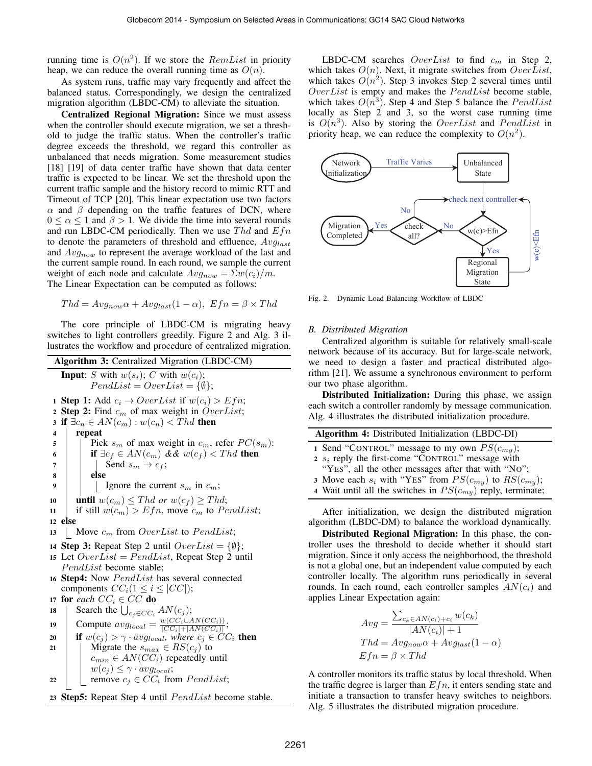running time is  $O(n^2)$ . If we store the  $RemList$  in priority heap, we can reduce the overall running time as  $O(n)$ .

As system runs, traffic may vary frequently and affect the balanced status. Correspondingly, we design the centralized migration algorithm (LBDC-CM) to alleviate the situation.

Centralized Regional Migration: Since we must assess when the controller should execute migration, we set a threshold to judge the traffic status. When the controller's traffic degree exceeds the threshold, we regard this controller as unbalanced that needs migration. Some measurement studies [18] [19] of data center traffic have shown that data center traffic is expected to be linear. We set the threshold upon the current traffic sample and the history record to mimic RTT and Timeout of TCP [20]. This linear expectation use two factors  $\alpha$  and  $\beta$  depending on the traffic features of DCN, where  $0 \le \alpha \le 1$  and  $\beta > 1$ . We divide the time into several rounds and run LBDC-CM periodically. Then we use  $Thd$  and  $Efn$ to denote the parameters of threshold and effluence,  $Avg_{last}$ and  $Avg_{now}$  to represent the average workload of the last and the current sample round. In each round, we sample the current weight of each node and calculate  $Avg_{now} = \sum w(c_i)/m$ . The Linear Expectation can be computed as follows:

$$
Thd = Avg_{now}\alpha + Avg_{last}(1-\alpha), \ Efn = \beta \times Thd
$$

The core principle of LBDC-CM is migrating heavy switches to light controllers greedily. Figure 2 and Alg. 3 illustrates the workflow and procedure of centralized migration.

| <b>Algorithm 3:</b> Centralized Migration (LBDC-CM) |                                                                                           |  |  |  |  |
|-----------------------------------------------------|-------------------------------------------------------------------------------------------|--|--|--|--|
|                                                     | <b>Input:</b> S with $w(s_i)$ ; C with $w(c_i)$ ;<br>$PendList = OverList = {\emptyset};$ |  |  |  |  |
|                                                     | <b>1 Step 1:</b> Add $c_i \rightarrow OverList$ if $w(c_i) > Efn$ ;                       |  |  |  |  |
|                                                     | 2 Step 2: Find $c_m$ of max weight in OverList;                                           |  |  |  |  |
| 3                                                   | if $\exists c_n \in AN(c_m): w(c_n) < Thd$ then                                           |  |  |  |  |
| 4                                                   | repeat                                                                                    |  |  |  |  |
| 5                                                   | Pick $s_m$ of max weight in $c_m$ , refer $PC(s_m)$ :                                     |  |  |  |  |
| 6                                                   | if $\exists c_f \in AN(c_m)$ & & $w(c_f) < Thd$ then                                      |  |  |  |  |
| 7                                                   | Send $s_m \rightarrow c_f$ ;                                                              |  |  |  |  |
| 8                                                   | else                                                                                      |  |  |  |  |
| 9                                                   | Ignore the current $s_m$ in $c_m$ ;                                                       |  |  |  |  |
| 10                                                  | <b>until</b> $w(c_m) \leq Thd$ or $w(c_f) \geq Thd$ ;                                     |  |  |  |  |
| 11                                                  | if still $w(c_m) > Efn$ , move $c_m$ to PendList;                                         |  |  |  |  |
| 12                                                  | else                                                                                      |  |  |  |  |
| 13                                                  | Move $c_m$ from OverList to PendList;                                                     |  |  |  |  |
|                                                     | 14 <b>Step 3:</b> Repeat Step 2 until $OverList = {\emptyset};$                           |  |  |  |  |
|                                                     | 15 Let $OverList = PendList$ , Repeat Step 2 until                                        |  |  |  |  |
|                                                     | <i>PendList</i> become stable;                                                            |  |  |  |  |
|                                                     | 16 Step4: Now PendList has several connected                                              |  |  |  |  |
|                                                     | components $CC_i(1 \leq i \leq  CC );$                                                    |  |  |  |  |
|                                                     | 17 for each $CC_i \in CC$ do                                                              |  |  |  |  |
| 18                                                  | Search the $\bigcup_{c_j \in CC_i} AN(c_j);$                                              |  |  |  |  |
| 19                                                  | Compute $avg_{local} = \frac{w(CC_i \cup AN(CC_i))}{ CC_i  +  AN(CC_i) };$                |  |  |  |  |
| 20                                                  | <b>if</b> $w(c_j) > \gamma \cdot avg_{local}$ , where $c_j \in CC_i$ then                 |  |  |  |  |
| 21                                                  | Migrate the $s_{max} \in RS(c_j)$ to                                                      |  |  |  |  |
|                                                     | $c_{min} \in AN(CC_i)$ repeatedly until                                                   |  |  |  |  |
|                                                     | $w(c_i) \leq \gamma \cdot avg_{local};$                                                   |  |  |  |  |
| 22                                                  | remove $c_j \in CC_i$ from $PendList;$                                                    |  |  |  |  |
|                                                     | 23 Step5: Repeat Step 4 until <i>PendList</i> become stable.                              |  |  |  |  |

LBDC-CM searches  $OverList$  to find  $c_m$  in Step 2, which takes  $O(n)$ . Next, it migrate switches from  $OverList$ , which takes  $O(n^2)$ . Step 3 invokes Step 2 several times until  $OverList$  is empty and makes the  $PendList$  become stable, which takes  $O(n^3)$ . Step 4 and Step 5 balance the  $PendList$ locally as Step 2 and 3, so the worst case running time is  $O(n^3)$ . Also by storing the OverList and PendList in priority heap, we can reduce the complexity to  $O(n^2)$ .



Fig. 2. Dynamic Load Balancing Workflow of LBDC

# *B. Distributed Migration*

Centralized algorithm is suitable for relatively small-scale network because of its accuracy. But for large-scale network, we need to design a faster and practical distributed algorithm [21]. We assume a synchronous environment to perform our two phase algorithm.

Distributed Initialization: During this phase, we assign each switch a controller randomly by message communication. Alg. 4 illustrates the distributed initialization procedure.

| <b>Algorithm 4:</b> Distributed Initialization (LBDC-DI)      |
|---------------------------------------------------------------|
| 1 Send "CONTROL" message to my own $PS(c_{m}$ );              |
| 2 $s_i$ reply the first-come "CONTROL" message with           |
| "YES", all the other messages after that with "NO";           |
| 3 Move each $s_i$ with "YES" from $PS(c_{m}$ to $RS(c_{m}$ ); |
| 4 Wait until all the switches in $PS(c_{m}$ reply, terminate; |
| After initialization, we design the distributed migration     |

algorithm (LBDC-DM) to balance the workload dynamically.

Distributed Regional Migration: In this phase, the controller uses the threshold to decide whether it should start migration. Since it only access the neighborhood, the threshold is not a global one, but an independent value computed by each controller locally. The algorithm runs periodically in several rounds. In each round, each controller samples  $AN(c_i)$  and applies Linear Expectation again:

$$
Avg = \frac{\sum_{c_k \in AN(c_i) + c_i} w(c_k)}{|AN(c_i)| + 1}
$$
  
Thd = Avg<sub>now</sub>  $\alpha$  + Avg<sub>last</sub>(1 -  $\alpha$ )  
Efn =  $\beta$  × Thd

A controller monitors its traffic status by local threshold. When the traffic degree is larger than  $Efn$ , it enters sending state and initiate a transaction to transfer heavy switches to neighbors. Alg. 5 illustrates the distributed migration procedure.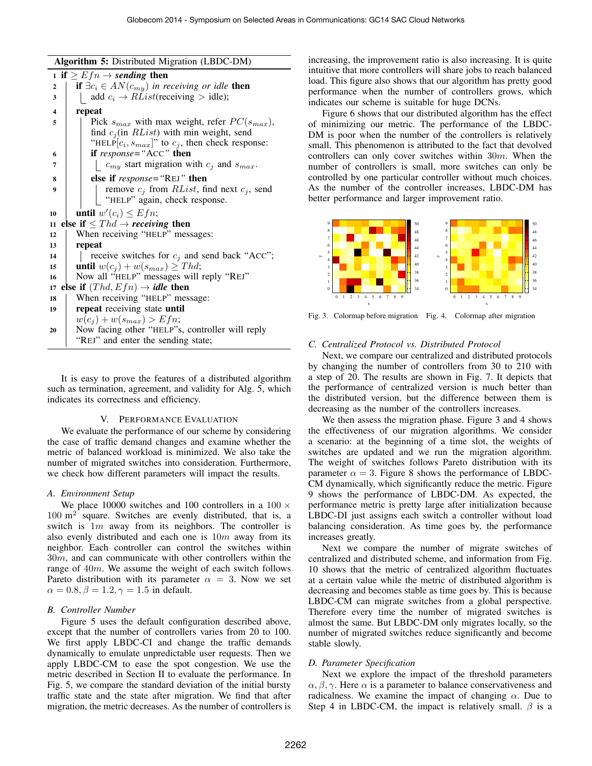Algorithm 5: Distributed Migration (LBDC-DM)

|                  | $\mathbf{r}$ $\mathbf{r}$ $\mathbf{r}$ $\mathbf{r}$ $\mathbf{r}$ $\mathbf{r}$ $\mathbf{r}$ $\mathbf{r}$ $\mathbf{r}$ $\mathbf{r}$ $\mathbf{r}$ $\mathbf{r}$ $\mathbf{r}$ $\mathbf{r}$ $\mathbf{r}$ $\mathbf{r}$ $\mathbf{r}$ $\mathbf{r}$ $\mathbf{r}$ $\mathbf{r}$ $\mathbf{r}$ $\mathbf{r}$ $\mathbf{r}$ $\mathbf{r}$ $\mathbf{$ |  |  |  |  |  |
|------------------|------------------------------------------------------------------------------------------------------------------------------------------------------------------------------------------------------------------------------------------------------------------------------------------------------------------------------------|--|--|--|--|--|
|                  | 1 if $\geq Efn \rightarrow$ sending then                                                                                                                                                                                                                                                                                           |  |  |  |  |  |
| $\boldsymbol{2}$ | if $\exists c_i \in AN(c_{my})$ in receiving or idle then                                                                                                                                                                                                                                                                          |  |  |  |  |  |
| 3                | add $c_i \rightarrow RList$ (receiving > idle);                                                                                                                                                                                                                                                                                    |  |  |  |  |  |
| 4                | repeat                                                                                                                                                                                                                                                                                                                             |  |  |  |  |  |
| 5                | Pick $s_{max}$ with max weight, refer $PC(s_{max})$ ,                                                                                                                                                                                                                                                                              |  |  |  |  |  |
|                  | find $c_j$ (in $RList$ ) with min weight, send                                                                                                                                                                                                                                                                                     |  |  |  |  |  |
|                  | "HELP $[c_i, s_{max}]$ " to $c_j$ , then check response:                                                                                                                                                                                                                                                                           |  |  |  |  |  |
| 6                | if $response = "ACC"$ then                                                                                                                                                                                                                                                                                                         |  |  |  |  |  |
| 7                | $c_{my}$ start migration with $c_j$ and $s_{max}$ .                                                                                                                                                                                                                                                                                |  |  |  |  |  |
| 8                | else if response="REJ" then                                                                                                                                                                                                                                                                                                        |  |  |  |  |  |
| 9                | remove $c_j$ from <i>RList</i> , find next $c_j$ , send                                                                                                                                                                                                                                                                            |  |  |  |  |  |
|                  | "HELP" again, check response.                                                                                                                                                                                                                                                                                                      |  |  |  |  |  |
| 10               | until $w'(c_i) \leq Efn;$                                                                                                                                                                                                                                                                                                          |  |  |  |  |  |
| 11               | else if $\leq Thd \rightarrow receiving$ then                                                                                                                                                                                                                                                                                      |  |  |  |  |  |
| 12               | When receiving "HELP" messages:                                                                                                                                                                                                                                                                                                    |  |  |  |  |  |
| 13               | repeat                                                                                                                                                                                                                                                                                                                             |  |  |  |  |  |
| 14               | receive switches for $c_j$ and send back "ACC";                                                                                                                                                                                                                                                                                    |  |  |  |  |  |
| 15               | <b>until</b> $w(c_i) + w(s_{max}) \geq Thd;$                                                                                                                                                                                                                                                                                       |  |  |  |  |  |
| 16               | Now all "HELP" messages will reply "REJ"                                                                                                                                                                                                                                                                                           |  |  |  |  |  |
| 17               | else if $(Thd, Efn) \rightarrow idle$ then                                                                                                                                                                                                                                                                                         |  |  |  |  |  |
| 18               | When receiving "HELP" message:                                                                                                                                                                                                                                                                                                     |  |  |  |  |  |
| 19               | repeat receiving state until                                                                                                                                                                                                                                                                                                       |  |  |  |  |  |
|                  | $w(c_j) + w(s_{max}) > Efn;$                                                                                                                                                                                                                                                                                                       |  |  |  |  |  |
| 20               | Now facing other "HELP"s, controller will reply                                                                                                                                                                                                                                                                                    |  |  |  |  |  |
|                  | "REJ" and enter the sending state;                                                                                                                                                                                                                                                                                                 |  |  |  |  |  |

It is easy to prove the features of a distributed algorithm such as termination, agreement, and validity for Alg. 5, which indicates its correctness and efficiency.

# V. PERFORMANCE EVALUATION

We evaluate the performance of our scheme by considering the case of traffic demand changes and examine whether the metric of balanced workload is minimized. We also take the number of migrated switches into consideration. Furthermore, we check how different parameters will impact the results.

#### *A. Environment Setup*

We place 10000 switches and 100 controllers in a  $100 \times$  $100 \text{ m}^2$  square. Switches are evenly distributed, that is, a switch is  $1m$  away from its neighbors. The controller is also evenly distributed and each one is  $10m$  away from its neighbor. Each controller can control the switches within 30m, and can communicate with other controllers within the range of 40m. We assume the weight of each switch follows Pareto distribution with its parameter  $\alpha = 3$ . Now we set  $\alpha = 0.8, \beta = 1.2, \gamma = 1.5$  in default.

#### *B. Controller Number*

Figure 5 uses the default configuration described above, except that the number of controllers varies from 20 to 100. We first apply LBDC-CI and change the traffic demands dynamically to emulate unpredictable user requests. Then we apply LBDC-CM to ease the spot congestion. We use the metric described in Section II to evaluate the performance. In Fig. 5, we compare the standard deviation of the initial bursty traffic state and the state after migration. We find that after migration, the metric decreases. As the number of controllers is increasing, the improvement ratio is also increasing. It is quite intuitive that more controllers will share jobs to reach balanced load. This figure also shows that our algorithm has pretty good performance when the number of controllers grows, which indicates our scheme is suitable for huge DCNs.

Figure 6 shows that our distributed algorithm has the effect of minimizing our metric. The performance of the LBDC-DM is poor when the number of the controllers is relatively small. This phenomenon is attributed to the fact that devolved controllers can only cover switches within 30m. When the number of controllers is small, more switches can only be controlled by one particular controller without much choices. As the number of the controller increases, LBDC-DM has better performance and larger improvement ratio.



Fig. 3. Colormap before migration Fig. 4. Colormap after migration

### *C. Centralized Protocol vs. Distributed Protocol*

Next, we compare our centralized and distributed protocols by changing the number of controllers from 30 to 210 with a step of 20. The results are shown in Fig. 7. It depicts that the performance of centralized version is much better than the distributed version, but the difference between them is decreasing as the number of the controllers increases.

We then assess the migration phase. Figure 3 and 4 shows the effectiveness of our migration algorithms. We consider a scenario: at the beginning of a time slot, the weights of switches are updated and we run the migration algorithm. The weight of switches follows Pareto distribution with its parameter  $\alpha = 3$ . Figure 8 shows the performance of LBDC-CM dynamically, which significantly reduce the metric. Figure 9 shows the performance of LBDC-DM. As expected, the performance metric is pretty large after initialization because LBDC-DI just assigns each switch a controller without load balancing consideration. As time goes by, the performance increases greatly.

Next we compare the number of migrate switches of centralized and distributed scheme, and information from Fig. 10 shows that the metric of centralized algorithm fluctuates at a certain value while the metric of distributed algorithm is decreasing and becomes stable as time goes by. This is because LBDC-CM can migrate switches from a global perspective. Therefore every time the number of migrated switches is almost the same. But LBDC-DM only migrates locally, so the number of migrated switches reduce significantly and become stable slowly.

#### *D. Parameter Specification*

Next we explore the impact of the threshold parameters  $\alpha, \beta, \gamma$ . Here  $\alpha$  is a parameter to balance conservativeness and radicalness. We examine the impact of changing  $\alpha$ . Due to Step 4 in LBDC-CM, the impact is relatively small.  $\beta$  is a